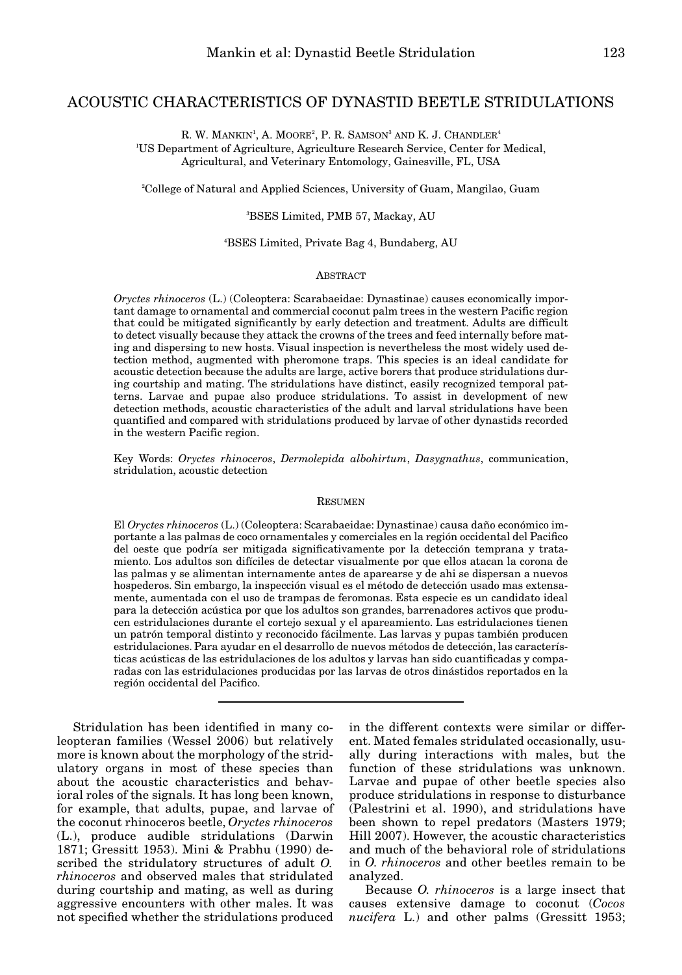# ACOUSTIC CHARACTERISTICS OF DYNASTID BEETLE STRIDULATIONS

R. W. MANKIN<sup>1</sup>, A. MOORE<sup>2</sup>, P. R. SAMSON<sup>3</sup> AND K. J. CHANDLER<sup>4</sup> 1 US Department of Agriculture, Agriculture Research Service, Center for Medical,

Agricultural, and Veterinary Entomology, Gainesville, FL, USA

2 College of Natural and Applied Sciences, University of Guam, Mangilao, Guam

3 BSES Limited, PMB 57, Mackay, AU

4 BSES Limited, Private Bag 4, Bundaberg, AU

#### **ABSTRACT**

*Oryctes rhinoceros* (L.) (Coleoptera: Scarabaeidae: Dynastinae) causes economically important damage to ornamental and commercial coconut palm trees in the western Pacific region that could be mitigated significantly by early detection and treatment. Adults are difficult to detect visually because they attack the crowns of the trees and feed internally before mating and dispersing to new hosts. Visual inspection is nevertheless the most widely used detection method, augmented with pheromone traps. This species is an ideal candidate for acoustic detection because the adults are large, active borers that produce stridulations during courtship and mating. The stridulations have distinct, easily recognized temporal patterns. Larvae and pupae also produce stridulations. To assist in development of new detection methods, acoustic characteristics of the adult and larval stridulations have been quantified and compared with stridulations produced by larvae of other dynastids recorded in the western Pacific region.

Key Words: *Oryctes rhinoceros*, *Dermolepida albohirtum*, *Dasygnathus*, communication, stridulation, acoustic detection

#### **RESUMEN**

El *Oryctes rhinoceros* (L.) (Coleoptera: Scarabaeidae: Dynastinae) causa daño económico importante a las palmas de coco ornamentales y comerciales en la región occidental del Pacifico del oeste que podría ser mitigada significativamente por la detección temprana y tratamiento. Los adultos son difíciles de detectar visualmente por que ellos atacan la corona de las palmas y se alimentan internamente antes de aparearse y de ahi se dispersan a nuevos hospederos. Sin embargo, la inspección visual es el método de detección usado mas extensamente, aumentada con el uso de trampas de feromonas. Esta especie es un candidato ideal para la detección acústica por que los adultos son grandes, barrenadores activos que producen estridulaciones durante el cortejo sexual y el apareamiento. Las estridulaciones tienen un patrón temporal distinto y reconocido fácilmente. Las larvas y pupas también producen estridulaciones. Para ayudar en el desarrollo de nuevos métodos de detección, las características acústicas de las estridulaciones de los adultos y larvas han sido cuantificadas y comparadas con las estridulaciones producidas por las larvas de otros dinástidos reportados en la región occidental del Pacifico.

Stridulation has been identified in many coleopteran families (Wessel 2006) but relatively more is known about the morphology of the stridulatory organs in most of these species than about the acoustic characteristics and behavioral roles of the signals. It has long been known, for example, that adults, pupae, and larvae of the coconut rhinoceros beetle, *Oryctes rhinoceros* (L.), produce audible stridulations (Darwin 1871; Gressitt 1953). Mini & Prabhu (1990) described the stridulatory structures of adult *O. rhinoceros* and observed males that stridulated during courtship and mating, as well as during aggressive encounters with other males. It was not specified whether the stridulations produced

in the different contexts were similar or different. Mated females stridulated occasionally, usually during interactions with males, but the function of these stridulations was unknown. Larvae and pupae of other beetle species also produce stridulations in response to disturbance (Palestrini et al. 1990), and stridulations have been shown to repel predators (Masters 1979; Hill 2007). However, the acoustic characteristics and much of the behavioral role of stridulations in *O. rhinoceros* and other beetles remain to be analyzed.

Because *O. rhinoceros* is a large insect that causes extensive damage to coconut (*Cocos nucifera* L.) and other palms (Gressitt 1953;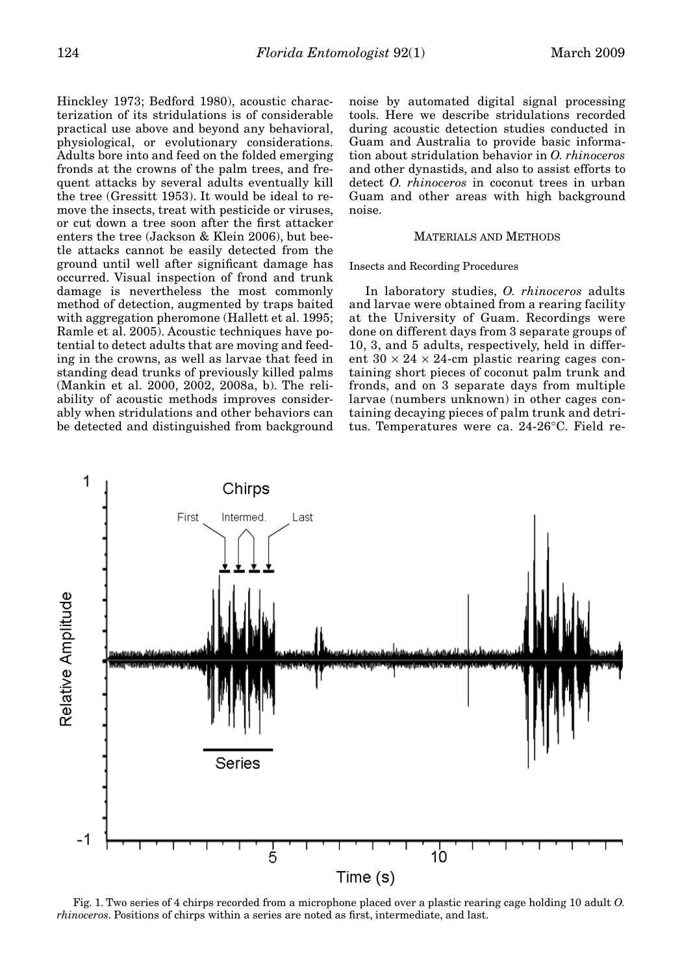Hinckley 1973; Bedford 1980), acoustic characterization of its stridulations is of considerable practical use above and beyond any behavioral, physiological, or evolutionary considerations. Adults bore into and feed on the folded emerging fronds at the crowns of the palm trees, and frequent attacks by several adults eventually kill the tree (Gressitt 1953). It would be ideal to remove the insects, treat with pesticide or viruses, or cut down a tree soon after the first attacker enters the tree (Jackson & Klein 2006), but beetle attacks cannot be easily detected from the ground until well after significant damage has occurred. Visual inspection of frond and trunk damage is nevertheless the most commonly method of detection, augmented by traps baited with aggregation pheromone (Hallett et al. 1995; Ramle et al. 2005). Acoustic techniques have potential to detect adults that are moving and feeding in the crowns, as well as larvae that feed in standing dead trunks of previously killed palms (Mankin et al. 2000, 2002, 2008a, b). The reliability of acoustic methods improves considerably when stridulations and other behaviors can be detected and distinguished from background

noise by automated digital signal processing tools. Here we describe stridulations recorded during acoustic detection studies conducted in Guam and Australia to provide basic information about stridulation behavior in *O. rhinoceros* and other dynastids, and also to assist efforts to detect *O. rhinoceros* in coconut trees in urban Guam and other areas with high background noise.

#### MATERIALS AND METHODS

# Insects and Recording Procedures

In laboratory studies, *O. rhinoceros* adults and larvae were obtained from a rearing facility at the University of Guam. Recordings were done on different days from 3 separate groups of 10, 3, and 5 adults, respectively, held in different  $30 \times 24 \times 24$ -cm plastic rearing cages containing short pieces of coconut palm trunk and fronds, and on 3 separate days from multiple larvae (numbers unknown) in other cages containing decaying pieces of palm trunk and detritus. Temperatures were ca. 24-26°C. Field re-



Fig. 1. Two series of 4 chirps recorded from a microphone placed over a plastic rearing cage holding 10 adult *O. rhinoceros*. Positions of chirps within a series are noted as first, intermediate, and last.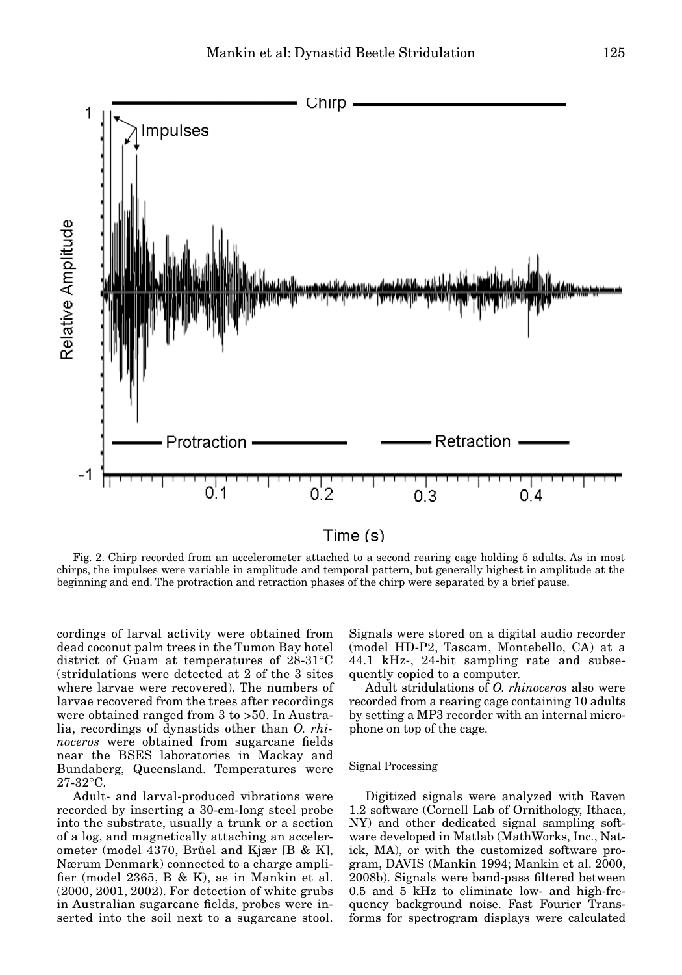

# $Time(s)$

Fig. 2. Chirp recorded from an accelerometer attached to a second rearing cage holding 5 adults. As in most chirps, the impulses were variable in amplitude and temporal pattern, but generally highest in amplitude at the beginning and end. The protraction and retraction phases of the chirp were separated by a brief pause.

cordings of larval activity were obtained from dead coconut palm trees in the Tumon Bay hotel district of Guam at temperatures of 28-31°C (stridulations were detected at 2 of the 3 sites where larvae were recovered). The numbers of larvae recovered from the trees after recordings were obtained ranged from 3 to >50. In Australia, recordings of dynastids other than *O. rhinoceros* were obtained from sugarcane fields near the BSES laboratories in Mackay and Bundaberg, Queensland. Temperatures were 27-32°C.

Adult- and larval-produced vibrations were recorded by inserting a 30-cm-long steel probe into the substrate, usually a trunk or a section of a log, and magnetically attaching an accelerometer (model 4370, Brüel and Kjær [B & K], Nærum Denmark) connected to a charge amplifier (model 2365, B & K), as in Mankin et al. (2000, 2001, 2002). For detection of white grubs in Australian sugarcane fields, probes were inserted into the soil next to a sugarcane stool.

Signals were stored on a digital audio recorder (model HD-P2, Tascam, Montebello, CA) at a 44.1 kHz-, 24-bit sampling rate and subsequently copied to a computer.

Adult stridulations of *O. rhinoceros* also were recorded from a rearing cage containing 10 adults by setting a MP3 recorder with an internal microphone on top of the cage.

#### Signal Processing

Digitized signals were analyzed with Raven 1.2 software (Cornell Lab of Ornithology, Ithaca, NY) and other dedicated signal sampling software developed in Matlab (MathWorks, Inc., Natick, MA), or with the customized software program, DAVIS (Mankin 1994; Mankin et al. 2000, 2008b). Signals were band-pass filtered between 0.5 and 5 kHz to eliminate low- and high-frequency background noise. Fast Fourier Transforms for spectrogram displays were calculated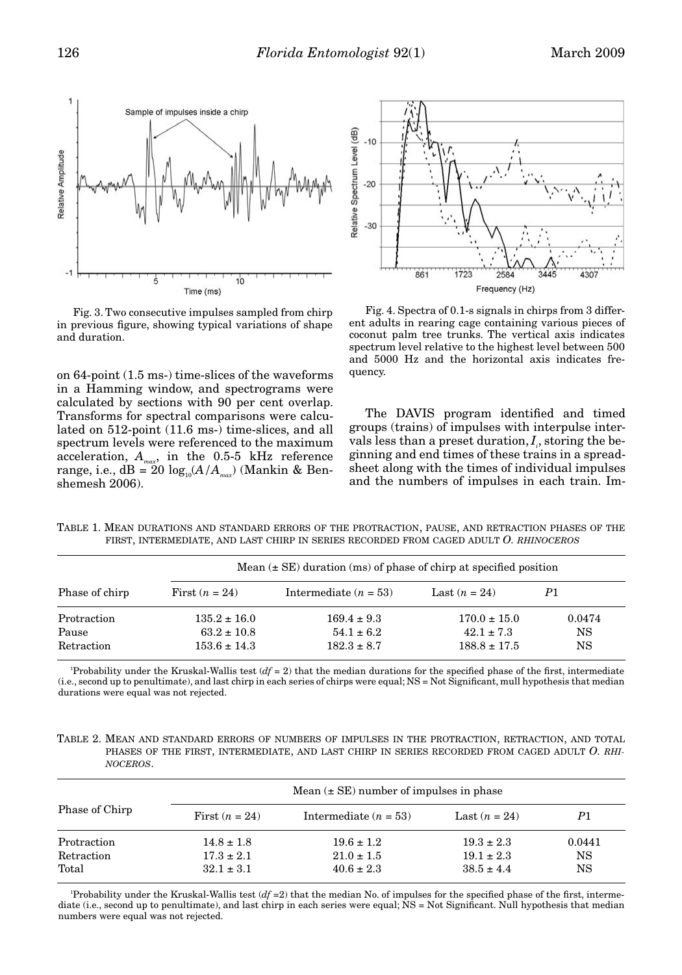

Fig. 3. Two consecutive impulses sampled from chirp in previous figure, showing typical variations of shape and duration.

on 64-point (1.5 ms-) time-slices of the waveforms in a Hamming window, and spectrograms were calculated by sections with 90 per cent overlap. Transforms for spectral comparisons were calculated on 512-point (11.6 ms-) time-slices, and all spectrum levels were referenced to the maximum acceleration, *Amax*, in the 0.5-5 kHz reference range, i.e.,  $dB = 20 log_{10}(A/A<sub>mar</sub>)$  (Mankin & Benshemesh 2006).



Fig. 4. Spectra of 0.1-s signals in chirps from 3 different adults in rearing cage containing various pieces of coconut palm tree trunks. The vertical axis indicates spectrum level relative to the highest level between 500 and 5000 Hz and the horizontal axis indicates frequency.

The DAVIS program identified and timed groups (trains) of impulses with interpulse intervals less than a preset duration,  $I_{\scriptscriptstyle i}$ , storing the beginning and end times of these trains in a spreadsheet along with the times of individual impulses and the numbers of impulses in each train. Im-

TABLE 1. MEAN DURATIONS AND STANDARD ERRORS OF THE PROTRACTION, PAUSE, AND RETRACTION PHASES OF THE FIRST, INTERMEDIATE, AND LAST CHIRP IN SERIES RECORDED FROM CAGED ADULT *O. RHINOCEROS*

|                | Mean $(\pm \text{SE})$ duration (ms) of phase of chirp at specified position |                         |                  |        |  |  |
|----------------|------------------------------------------------------------------------------|-------------------------|------------------|--------|--|--|
| Phase of chirp | First $(n = 24)$                                                             | Intermediate $(n = 53)$ | Last $(n = 24)$  | P1     |  |  |
| Protraction    | $135.2 \pm 16.0$                                                             | $169.4 \pm 9.3$         | $170.0 \pm 15.0$ | 0.0474 |  |  |
| Pause          | $63.2 \pm 10.8$                                                              | $54.1 \pm 6.2$          | $42.1 \pm 7.3$   | NS     |  |  |
| Retraction     | $153.6 \pm 14.3$                                                             | $182.3 \pm 8.7$         | $188.8 \pm 17.5$ | NS     |  |  |

Probability under the Kruskal-Wallis test  $(df = 2)$  that the median durations for the specified phase of the first, intermediate (i.e., second up to penultimate), and last chirp in each series of chirps were equal; NS = Not Significant, mull hypothesis that median durations were equal was not rejected.

TABLE 2. MEAN AND STANDARD ERRORS OF NUMBERS OF IMPULSES IN THE PROTRACTION, RETRACTION, AND TOTAL PHASES OF THE FIRST, INTERMEDIATE, AND LAST CHIRP IN SERIES RECORDED FROM CAGED ADULT *O. RHI-NOCEROS*.

| Phase of Chirp | Mean $(\pm SE)$ number of impulses in phase |                         |                 |        |  |
|----------------|---------------------------------------------|-------------------------|-----------------|--------|--|
|                | First $(n = 24)$                            | Intermediate $(n = 53)$ | Last $(n = 24)$ | P1     |  |
| Protraction    | $14.8 \pm 1.8$                              | $19.6 \pm 1.2$          | $19.3 \pm 2.3$  | 0.0441 |  |
| Retraction     | $17.3 \pm 2.1$                              | $21.0 \pm 1.5$          | $19.1 \pm 2.3$  | NS     |  |
| Total          | $32.1 \pm 3.1$                              | $40.6 \pm 2.3$          | $38.5 \pm 4.4$  | NS     |  |

Probability under the Kruskal-Wallis test  $(df = 2)$  that the median No. of impulses for the specified phase of the first, intermediate (i.e., second up to penultimate), and last chirp in each series were equal; NS = Not Significant. Null hypothesis that median numbers were equal was not rejected.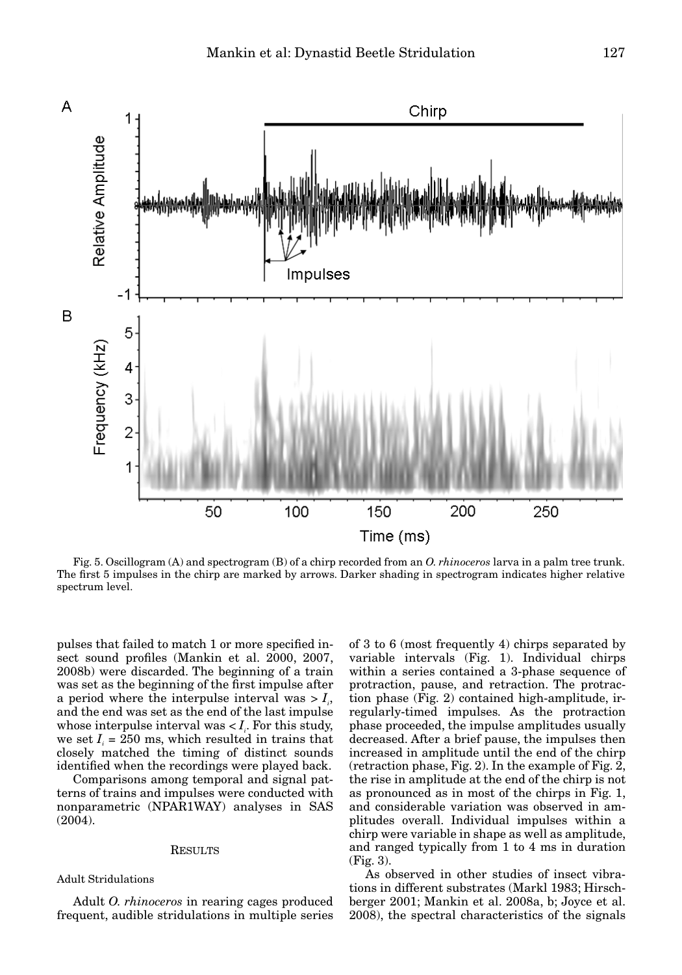

Fig. 5. Oscillogram (A) and spectrogram (B) of a chirp recorded from an *O. rhinoceros* larva in a palm tree trunk. The first 5 impulses in the chirp are marked by arrows. Darker shading in spectrogram indicates higher relative spectrum level.

pulses that failed to match 1 or more specified insect sound profiles (Mankin et al. 2000, 2007, 2008b) were discarded. The beginning of a train was set as the beginning of the first impulse after a period where the interpulse interval was  $> I_{i}$ , and the end was set as the end of the last impulse whose interpulse interval was  $I_i$ . For this study, we set  $I_i = 250$  ms, which resulted in trains that closely matched the timing of distinct sounds identified when the recordings were played back.

Comparisons among temporal and signal patterns of trains and impulses were conducted with nonparametric (NPAR1WAY) analyses in SAS (2004).

# RESULTS

# Adult Stridulations

Adult *O. rhinoceros* in rearing cages produced frequent, audible stridulations in multiple series of 3 to 6 (most frequently 4) chirps separated by variable intervals (Fig. 1). Individual chirps within a series contained a 3-phase sequence of protraction, pause, and retraction. The protraction phase (Fig. 2) contained high-amplitude, irregularly-timed impulses. As the protraction phase proceeded, the impulse amplitudes usually decreased. After a brief pause, the impulses then increased in amplitude until the end of the chirp (retraction phase, Fig. 2). In the example of Fig. 2, the rise in amplitude at the end of the chirp is not as pronounced as in most of the chirps in Fig. 1, and considerable variation was observed in amplitudes overall. Individual impulses within a chirp were variable in shape as well as amplitude, and ranged typically from 1 to 4 ms in duration (Fig. 3).

As observed in other studies of insect vibrations in different substrates (Markl 1983; Hirschberger 2001; Mankin et al. 2008a, b; Joyce et al. 2008), the spectral characteristics of the signals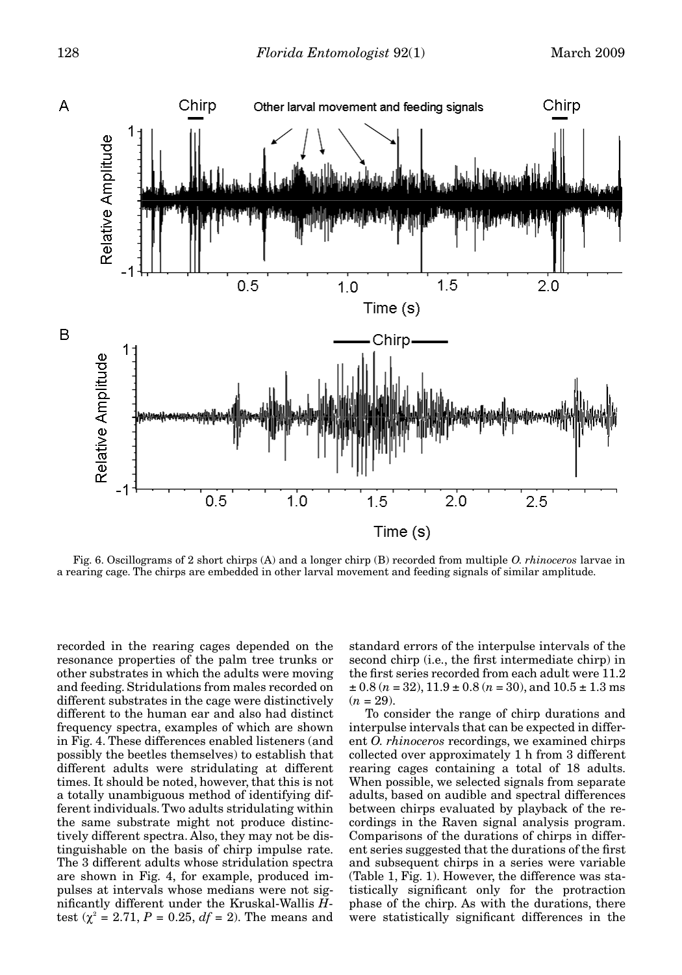

Fig. 6. Oscillograms of 2 short chirps (A) and a longer chirp (B) recorded from multiple *O. rhinoceros* larvae in a rearing cage. The chirps are embedded in other larval movement and feeding signals of similar amplitude.

recorded in the rearing cages depended on the resonance properties of the palm tree trunks or other substrates in which the adults were moving and feeding. Stridulations from males recorded on different substrates in the cage were distinctively different to the human ear and also had distinct frequency spectra, examples of which are shown in Fig. 4. These differences enabled listeners (and possibly the beetles themselves) to establish that different adults were stridulating at different times. It should be noted, however, that this is not a totally unambiguous method of identifying different individuals. Two adults stridulating within the same substrate might not produce distinctively different spectra. Also, they may not be distinguishable on the basis of chirp impulse rate. The 3 different adults whose stridulation spectra are shown in Fig. 4, for example, produced impulses at intervals whose medians were not significantly different under the Kruskal-Wallis *H*test  $(\chi^2 = 2.71, P = 0.25, df = 2)$ . The means and

standard errors of the interpulse intervals of the second chirp (i.e., the first intermediate chirp) in the first series recorded from each adult were 11.2  $\pm$  0.8 (*n* = 32), 11.9  $\pm$  0.8 (*n* = 30), and 10.5  $\pm$  1.3 ms  $(n = 29)$ .

To consider the range of chirp durations and interpulse intervals that can be expected in different *O. rhinoceros* recordings, we examined chirps collected over approximately 1 h from 3 different rearing cages containing a total of 18 adults. When possible, we selected signals from separate adults, based on audible and spectral differences between chirps evaluated by playback of the recordings in the Raven signal analysis program. Comparisons of the durations of chirps in different series suggested that the durations of the first and subsequent chirps in a series were variable (Table 1, Fig. 1). However, the difference was statistically significant only for the protraction phase of the chirp. As with the durations, there were statistically significant differences in the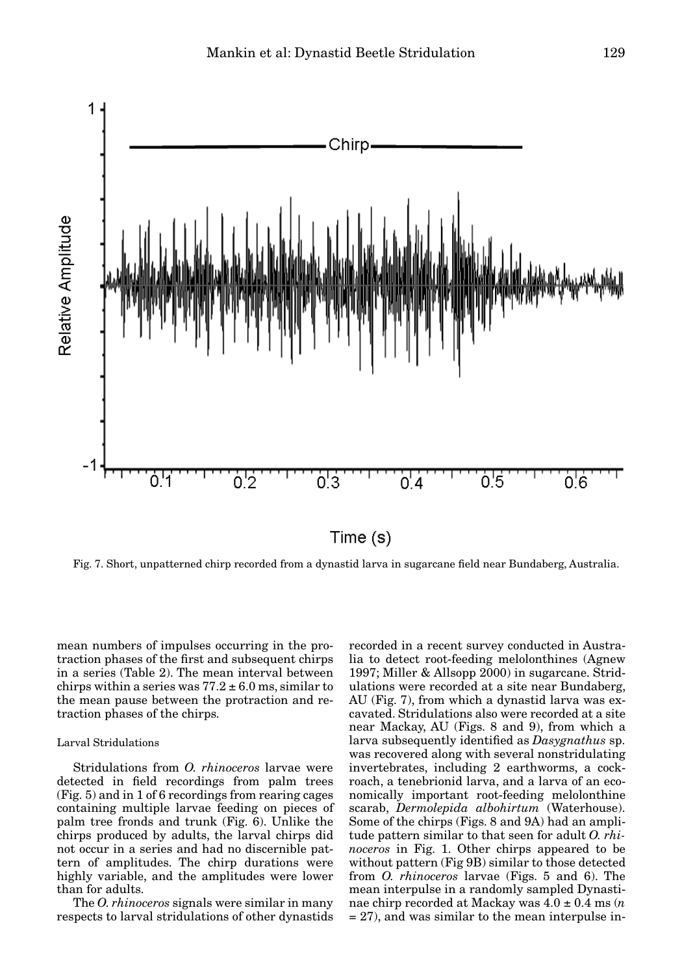

Fig. 7. Short, unpatterned chirp recorded from a dynastid larva in sugarcane field near Bundaberg, Australia.

mean numbers of impulses occurring in the protraction phases of the first and subsequent chirps in a series (Table 2). The mean interval between chirps within a series was  $77.2 \pm 6.0$  ms, similar to the mean pause between the protraction and retraction phases of the chirps.

# Larval Stridulations

Stridulations from *O. rhinoceros* larvae were detected in field recordings from palm trees (Fig. 5) and in 1 of 6 recordings from rearing cages containing multiple larvae feeding on pieces of palm tree fronds and trunk (Fig. 6). Unlike the chirps produced by adults, the larval chirps did not occur in a series and had no discernible pattern of amplitudes. The chirp durations were highly variable, and the amplitudes were lower than for adults.

The *O. rhinoceros* signals were similar in many respects to larval stridulations of other dynastids recorded in a recent survey conducted in Australia to detect root-feeding melolonthines (Agnew 1997; Miller & Allsopp 2000) in sugarcane. Stridulations were recorded at a site near Bundaberg, AU (Fig. 7), from which a dynastid larva was excavated. Stridulations also were recorded at a site near Mackay, AU (Figs. 8 and 9), from which a larva subsequently identified as *Dasygnathus* sp. was recovered along with several nonstridulating invertebrates, including 2 earthworms, a cockroach, a tenebrionid larva, and a larva of an economically important root-feeding melolonthine scarab, *Dermolepida albohirtum* (Waterhouse). Some of the chirps (Figs. 8 and 9A) had an amplitude pattern similar to that seen for adult *O. rhinoceros* in Fig. 1. Other chirps appeared to be without pattern (Fig 9B) similar to those detected from *O. rhinoceros* larvae (Figs. 5 and 6). The mean interpulse in a randomly sampled Dynastinae chirp recorded at Mackay was 4.0 ± 0.4 ms (*n* = 27), and was similar to the mean interpulse in-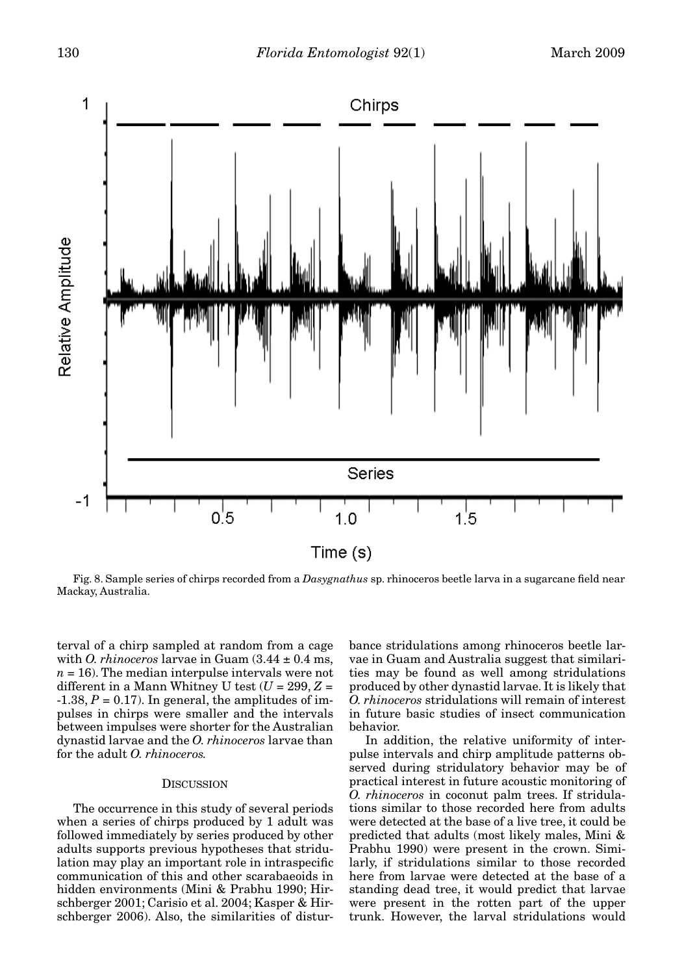

Fig. 8. Sample series of chirps recorded from a *Dasygnathus* sp. rhinoceros beetle larva in a sugarcane field near Mackay, Australia.

terval of a chirp sampled at random from a cage with *O. rhinoceros* larvae in Guam  $(3.44 \pm 0.4 \text{ ms})$ ,  $n = 16$ ). The median interpulse intervals were not different in a Mann Whitney U test  $(U = 299, Z =$  $-1.38, P = 0.17$ . In general, the amplitudes of impulses in chirps were smaller and the intervals between impulses were shorter for the Australian dynastid larvae and the *O. rhinoceros* larvae than for the adult *O. rhinoceros.*

### **DISCUSSION**

The occurrence in this study of several periods when a series of chirps produced by 1 adult was followed immediately by series produced by other adults supports previous hypotheses that stridulation may play an important role in intraspecific communication of this and other scarabaeoids in hidden environments (Mini & Prabhu 1990; Hirschberger 2001; Carisio et al. 2004; Kasper & Hirschberger 2006). Also, the similarities of distur-

bance stridulations among rhinoceros beetle larvae in Guam and Australia suggest that similarities may be found as well among stridulations produced by other dynastid larvae. It is likely that *O. rhinoceros* stridulations will remain of interest in future basic studies of insect communication behavior.

In addition, the relative uniformity of interpulse intervals and chirp amplitude patterns observed during stridulatory behavior may be of practical interest in future acoustic monitoring of *O. rhinoceros* in coconut palm trees. If stridulations similar to those recorded here from adults were detected at the base of a live tree, it could be predicted that adults (most likely males, Mini & Prabhu 1990) were present in the crown. Similarly, if stridulations similar to those recorded here from larvae were detected at the base of a standing dead tree, it would predict that larvae were present in the rotten part of the upper trunk. However, the larval stridulations would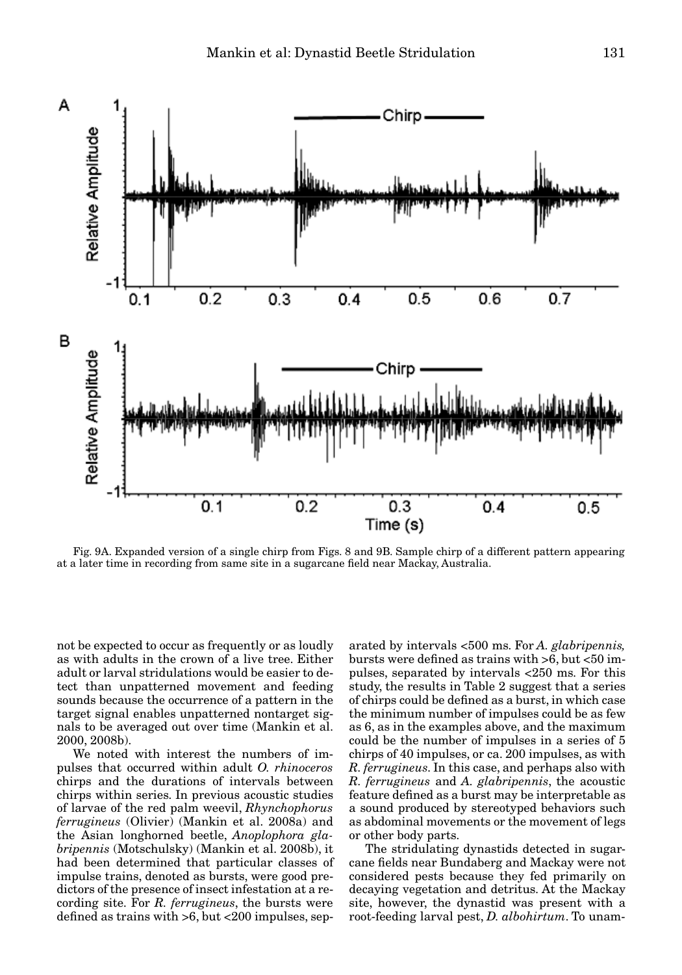

Fig. 9A. Expanded version of a single chirp from Figs. 8 and 9B. Sample chirp of a different pattern appearing at a later time in recording from same site in a sugarcane field near Mackay, Australia.

not be expected to occur as frequently or as loudly as with adults in the crown of a live tree. Either adult or larval stridulations would be easier to detect than unpatterned movement and feeding sounds because the occurrence of a pattern in the target signal enables unpatterned nontarget signals to be averaged out over time (Mankin et al. 2000, 2008b).

We noted with interest the numbers of impulses that occurred within adult *O. rhinoceros* chirps and the durations of intervals between chirps within series. In previous acoustic studies of larvae of the red palm weevil, *Rhynchophorus ferrugineus* (Olivier) (Mankin et al. 2008a) and the Asian longhorned beetle, *Anoplophora glabripennis* (Motschulsky) (Mankin et al. 2008b), it had been determined that particular classes of impulse trains, denoted as bursts, were good predictors of the presence of insect infestation at a recording site. For *R. ferrugineus*, the bursts were defined as trains with  $>6$ , but  $<200$  impulses, separated by intervals <500 ms. For *A. glabripennis,* bursts were defined as trains with >6, but <50 impulses, separated by intervals <250 ms. For this study, the results in Table 2 suggest that a series of chirps could be defined as a burst, in which case the minimum number of impulses could be as few as 6, as in the examples above, and the maximum could be the number of impulses in a series of 5 chirps of 40 impulses, or ca. 200 impulses, as with *R. ferrugineus*. In this case, and perhaps also with *R. ferrugineus* and *A. glabripennis*, the acoustic feature defined as a burst may be interpretable as a sound produced by stereotyped behaviors such as abdominal movements or the movement of legs or other body parts.

The stridulating dynastids detected in sugarcane fields near Bundaberg and Mackay were not considered pests because they fed primarily on decaying vegetation and detritus. At the Mackay site, however, the dynastid was present with a root-feeding larval pest, *D. albohirtum*. To unam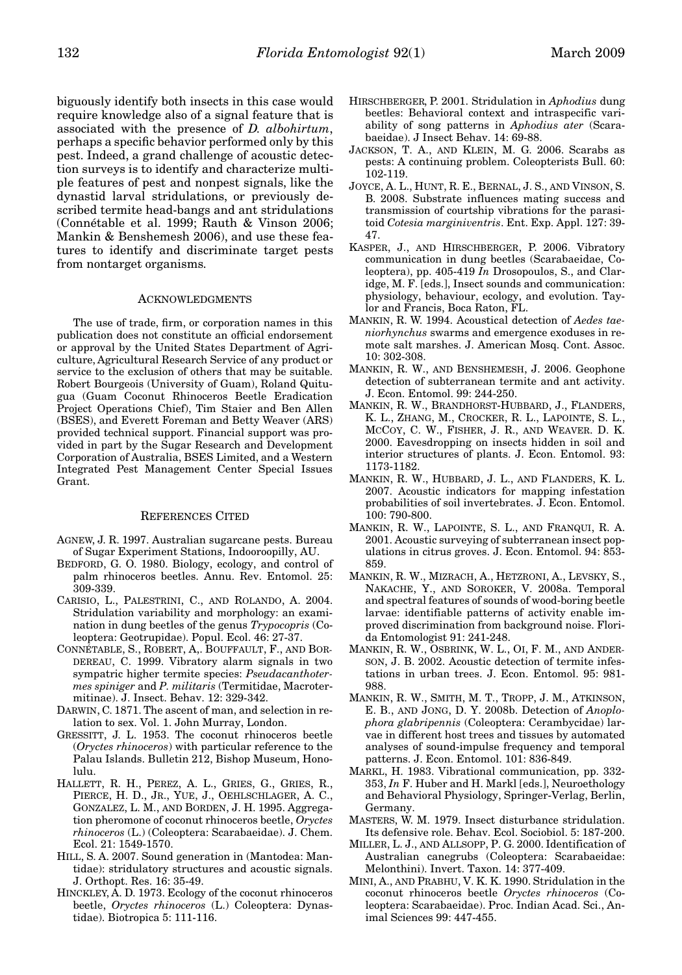biguously identify both insects in this case would require knowledge also of a signal feature that is associated with the presence of *D. albohirtum*, perhaps a specific behavior performed only by this pest. Indeed, a grand challenge of acoustic detection surveys is to identify and characterize multiple features of pest and nonpest signals, like the dynastid larval stridulations, or previously described termite head-bangs and ant stridulations (Connétable et al. 1999; Rauth & Vinson 2006; Mankin & Benshemesh 2006), and use these features to identify and discriminate target pests from nontarget organisms.

## ACKNOWLEDGMENTS

The use of trade, firm, or corporation names in this publication does not constitute an official endorsement or approval by the United States Department of Agriculture, Agricultural Research Service of any product or service to the exclusion of others that may be suitable. Robert Bourgeois (University of Guam), Roland Quitugua (Guam Coconut Rhinoceros Beetle Eradication Project Operations Chief), Tim Staier and Ben Allen (BSES), and Everett Foreman and Betty Weaver (ARS) provided technical support. Financial support was provided in part by the Sugar Research and Development Corporation of Australia, BSES Limited, and a Western Integrated Pest Management Center Special Issues Grant.

#### REFERENCES CITED

- AGNEW, J. R. 1997. Australian sugarcane pests. Bureau of Sugar Experiment Stations, Indooroopilly, AU.
- BEDFORD, G. O. 1980. Biology, ecology, and control of palm rhinoceros beetles. Annu. Rev. Entomol. 25: 309-339.
- CARISIO, L., PALESTRINI, C., AND ROLANDO, A. 2004. Stridulation variability and morphology: an examination in dung beetles of the genus *Trypocopris* (Coleoptera: Geotrupidae). Popul. Ecol. 46: 27-37.
- CONNÉTABLE, S., ROBERT, A,. BOUFFAULT, F., AND BOR-DEREAU, C. 1999. Vibratory alarm signals in two sympatric higher termite species: *Pseudacanthotermes spiniger* and *P. militaris* (Termitidae, Macrotermitinae). J. Insect. Behav. 12: 329-342.
- DARWIN, C. 1871. The ascent of man, and selection in relation to sex. Vol. 1. John Murray, London.
- GRESSITT, J. L. 1953. The coconut rhinoceros beetle (*Oryctes rhinoceros*) with particular reference to the Palau Islands. Bulletin 212, Bishop Museum, Honolulu.
- HALLETT, R. H., PEREZ, A. L., GRIES, G., GRIES, R., PIERCE, H. D., JR., YUE, J., OEHLSCHLAGER, A. C., GONZALEZ, L. M., AND BORDEN, J. H. 1995. Aggregation pheromone of coconut rhinoceros beetle, *Oryctes rhinoceros* (L.) (Coleoptera: Scarabaeidae). J. Chem. Ecol. 21: 1549-1570.
- HILL, S. A. 2007. Sound generation in (Mantodea: Mantidae): stridulatory structures and acoustic signals. J. Orthopt. Res. 16: 35-49.
- HINCKLEY, A. D. 1973. Ecology of the coconut rhinoceros beetle, *Oryctes rhinoceros* (L.) Coleoptera: Dynastidae). Biotropica 5: 111-116.
- HIRSCHBERGER, P. 2001. Stridulation in *Aphodius* dung beetles: Behavioral context and intraspecific variability of song patterns in *Aphodius ater* (Scarabaeidae). J Insect Behav. 14: 69-88.
- JACKSON, T. A., AND KLEIN, M. G. 2006. Scarabs as pests: A continuing problem. Coleopterists Bull. 60: 102-119.
- JOYCE, A. L., HUNT, R. E., BERNAL, J. S., AND VINSON, S. B. 2008. Substrate influences mating success and transmission of courtship vibrations for the parasitoid *Cotesia marginiventris*. Ent. Exp. Appl. 127: 39- 47.
- KASPER, J., AND HIRSCHBERGER, P. 2006. Vibratory communication in dung beetles (Scarabaeidae, Coleoptera), pp. 405-419 *In* Drosopoulos, S., and Claridge, M. F. [eds.], Insect sounds and communication: physiology, behaviour, ecology, and evolution. Taylor and Francis, Boca Raton, FL.
- MANKIN, R. W. 1994. Acoustical detection of *Aedes taeniorhynchus* swarms and emergence exoduses in remote salt marshes. J. American Mosq. Cont. Assoc. 10: 302-308.
- MANKIN, R. W., AND BENSHEMESH, J. 2006. Geophone detection of subterranean termite and ant activity. J. Econ. Entomol. 99: 244-250.
- MANKIN, R. W., BRANDHORST-HUBBARD, J., FLANDERS, K. L., ZHANG, M., CROCKER, R. L., LAPOINTE, S. L., MCCOY, C. W., FISHER, J. R., AND WEAVER. D. K. 2000. Eavesdropping on insects hidden in soil and interior structures of plants. J. Econ. Entomol. 93: 1173-1182.
- MANKIN, R. W., HUBBARD, J. L., AND FLANDERS, K. L. 2007. Acoustic indicators for mapping infestation probabilities of soil invertebrates. J. Econ. Entomol. 100: 790-800.
- MANKIN, R. W., LAPOINTE, S. L., AND FRANQUI, R. A. 2001. Acoustic surveying of subterranean insect populations in citrus groves. J. Econ. Entomol. 94: 853- 859.
- MANKIN, R. W., MIZRACH, A., HETZRONI, A., LEVSKY, S., NAKACHE, Y., AND SOROKER, V. 2008a. Temporal and spectral features of sounds of wood-boring beetle larvae: identifiable patterns of activity enable improved discrimination from background noise. Florida Entomologist 91: 241-248.
- MANKIN, R. W., OSBRINK, W. L., OI, F. M., AND ANDER-SON, J. B. 2002. Acoustic detection of termite infestations in urban trees. J. Econ. Entomol. 95: 981- 988.
- MANKIN, R. W., SMITH, M. T., TROPP, J. M., ATKINSON, E. B., AND JONG, D. Y. 2008b. Detection of *Anoplophora glabripennis* (Coleoptera: Cerambycidae) larvae in different host trees and tissues by automated analyses of sound-impulse frequency and temporal patterns. J. Econ. Entomol. 101: 836-849.
- MARKL, H. 1983. Vibrational communication, pp. 332- 353, *In* F. Huber and H. Markl [eds.], Neuroethology and Behavioral Physiology, Springer-Verlag, Berlin, Germany.
- MASTERS, W. M. 1979. Insect disturbance stridulation. Its defensive role. Behav. Ecol. Sociobiol. 5: 187-200.
- MILLER, L. J., AND ALLSOPP, P. G. 2000. Identification of Australian canegrubs (Coleoptera: Scarabaeidae: Melonthini). Invert. Taxon. 14: 377-409.
- MINI, A., AND PRABHU, V. K. K. 1990. Stridulation in the coconut rhinoceros beetle *Oryctes rhinoceros* (Coleoptera: Scarabaeidae). Proc. Indian Acad. Sci., Animal Sciences 99: 447-455.